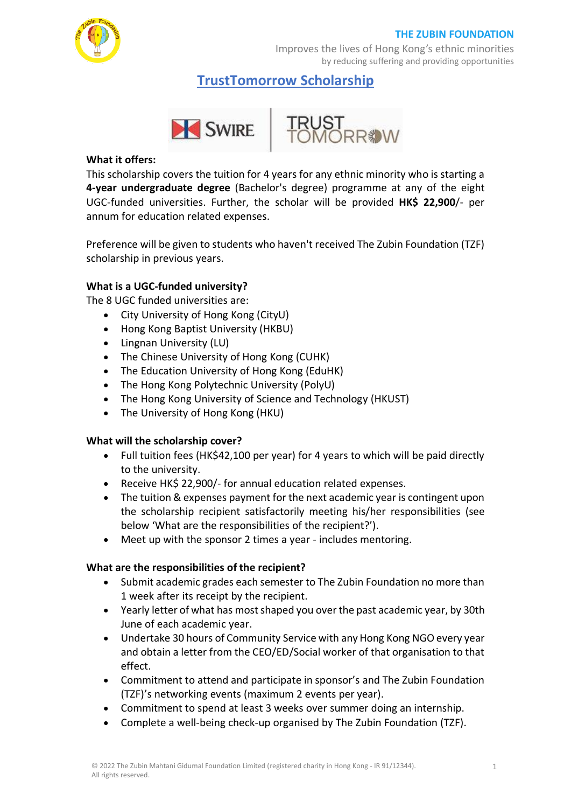

Improves the lives of Hong Kong's ethnic minorities by reducing suffering and providing opportunities

**TrustTomorrow Scholarship**



#### **What it offers:**

This scholarship covers the tuition for 4 years for any ethnic minority who is starting a **4-year undergraduate degree** (Bachelor's degree) programme at any of the eight UGC-funded universities. Further, the scholar will be provided **HK\$ 22,900**/- per annum for education related expenses.

Preference will be given to students who haven't received The Zubin Foundation (TZF) scholarship in previous years.

# **What is a UGC-funded university?**

The 8 UGC funded universities are:

- City University of Hong Kong (CityU)
- Hong Kong Baptist University (HKBU)
- Lingnan University (LU)
- The Chinese University of Hong Kong (CUHK)
- The Education University of Hong Kong (EduHK)
- The Hong Kong Polytechnic University (PolyU)
- The Hong Kong University of Science and Technology (HKUST)
- The University of Hong Kong (HKU)

# **What will the scholarship cover?**

- Full tuition fees (HK\$42,100 per year) for 4 years to which will be paid directly to the university.
- Receive HK\$ 22,900/- for annual education related expenses.
- The tuition & expenses payment for the next academic year is contingent upon the scholarship recipient satisfactorily meeting his/her responsibilities (see below 'What are the responsibilities of the recipient?').
- Meet up with the sponsor 2 times a year includes mentoring.

# **What are the responsibilities of the recipient?**

- Submit academic grades each semester to The Zubin Foundation no more than 1 week after its receipt by the recipient.
- Yearly letter of what has mostshaped you over the past academic year, by 30th June of each academic year.
- Undertake 30 hours of Community Service with any Hong Kong NGO every year and obtain a letter from the CEO/ED/Social worker of that organisation to that effect.
- Commitment to attend and participate in sponsor's and The Zubin Foundation (TZF)'s networking events (maximum 2 events per year).
- Commitment to spend at least 3 weeks over summer doing an internship.
- Complete a well-being check-up organised by The Zubin Foundation (TZF).